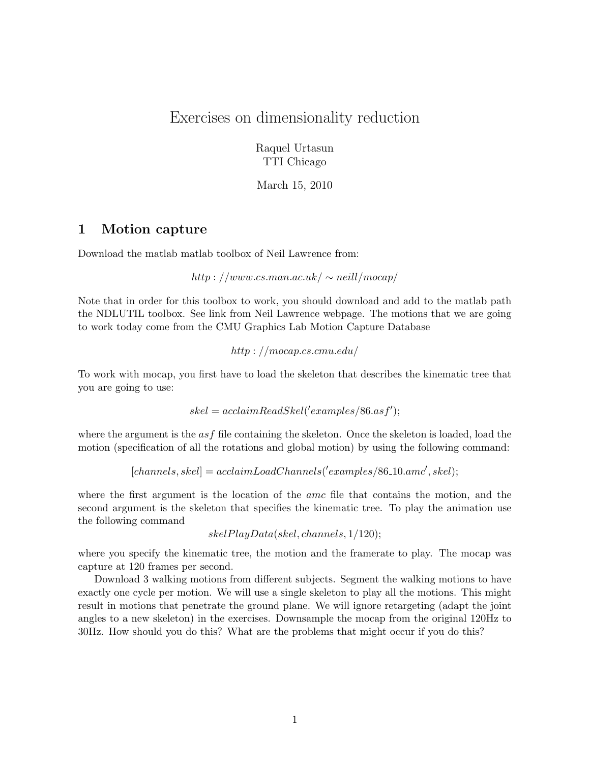# Exercises on dimensionality reduction

Raquel Urtasun TTI Chicago

March 15, 2010

## 1 Motion capture

Download the matlab matlab toolbox of Neil Lawrence from:

http : //www.cs.man.ac.uk/  $\sim$  neill/mocap/

Note that in order for this toolbox to work, you should download and add to the matlab path the NDLUTIL toolbox. See link from Neil Lawrence webpage. The motions that we are going to work today come from the CMU Graphics Lab Motion Capture Database

http : //mocap.cs.cmu.edu/

To work with mocap, you first have to load the skeleton that describes the kinematic tree that you are going to use:

```
skel = acclaimReadSkel('examples/86. as f');
```
where the argument is the  $asf$  file containing the skeleton. Once the skeleton is loaded, load the motion (specification of all the rotations and global motion) by using the following command:

 $[channels, skel] = \operatorname{acclaimLoad Channels}('examples/86.10. amc', skel);$ 

where the first argument is the location of the *amc* file that contains the motion, and the second argument is the skeleton that specifies the kinematic tree. To play the animation use the following command

skelPlayData(skel, channels, 1/120);

where you specify the kinematic tree, the motion and the framerate to play. The mocap was capture at 120 frames per second.

Download 3 walking motions from different subjects. Segment the walking motions to have exactly one cycle per motion. We will use a single skeleton to play all the motions. This might result in motions that penetrate the ground plane. We will ignore retargeting (adapt the joint angles to a new skeleton) in the exercises. Downsample the mocap from the original 120Hz to 30Hz. How should you do this? What are the problems that might occur if you do this?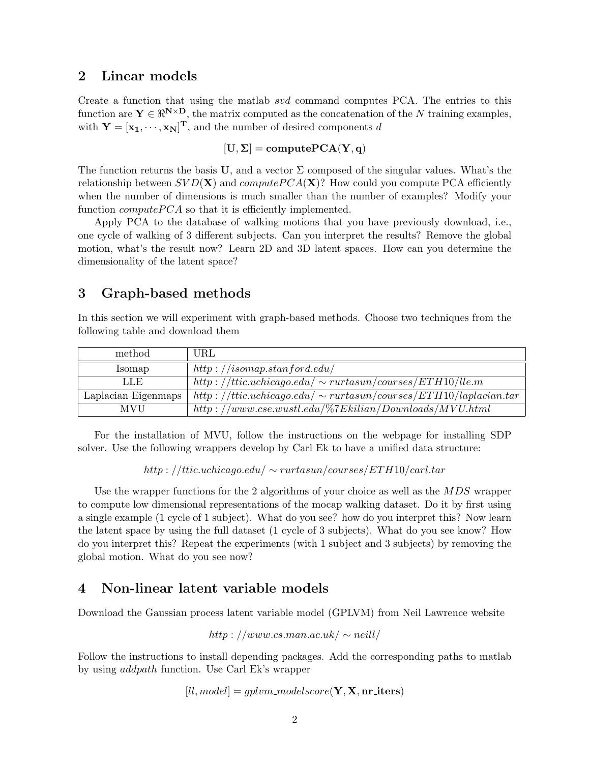#### 2 Linear models

Create a function that using the matlab svd command computes PCA. The entries to this function are  $\mathbf{Y} \in \mathbb{R}^{N \times D}$ , the matrix computed as the concatenation of the N training examples, with  $\mathbf{Y} = [\mathbf{x}_1, \cdots, \mathbf{x}_N]^{\mathrm{T}}$ , and the number of desired components d

#### $[U, \Sigma] = \text{computePCA}(Y, q)$

The function returns the basis U, and a vector  $\Sigma$  composed of the singular values. What's the relationship between  $SVD(X)$  and compute  $PCA(X)$ ? How could you compute PCA efficiently when the number of dimensions is much smaller than the number of examples? Modify your function  $computePCA$  so that it is efficiently implemented.

Apply PCA to the database of walking motions that you have previously download, i.e., one cycle of walking of 3 different subjects. Can you interpret the results? Remove the global motion, what's the result now? Learn 2D and 3D latent spaces. How can you determine the dimensionality of the latent space?

## 3 Graph-based methods

In this section we will experiment with graph-based methods. Choose two techniques from the following table and download them

| method              | URL                                                                   |
|---------------------|-----------------------------------------------------------------------|
| Isomap              | http://isomap.stanford.edu/                                           |
| LLE                 | http://ttic.uchicago.edu/ $\sim$ rurtasun/courses/ETH10/lle.m         |
| Laplacian Eigenmaps | http://ttic.uchicago.edu/ $\sim$ rurtasun/courses/ETH10/laplacian.tar |
| <b>MVU</b>          | $http://www.cse.wustl.edu/\%7Ekilian/Downloads/MVU.html$              |

For the installation of MVU, follow the instructions on the webpage for installing SDP solver. Use the following wrappers develop by Carl Ek to have a unified data structure:

 $http://ttic.uchicago.edu/\sim rurtasun/courses/ETH10/carl.tar$ 

Use the wrapper functions for the 2 algorithms of your choice as well as the  $MDS$  wrapper to compute low dimensional representations of the mocap walking dataset. Do it by first using a single example (1 cycle of 1 subject). What do you see? how do you interpret this? Now learn the latent space by using the full dataset (1 cycle of 3 subjects). What do you see know? How do you interpret this? Repeat the experiments (with 1 subject and 3 subjects) by removing the global motion. What do you see now?

### 4 Non-linear latent variable models

Download the Gaussian process latent variable model (GPLVM) from Neil Lawrence website

http : //www.cs.man.ac.uk/  $\sim$  neill/

Follow the instructions to install depending packages. Add the corresponding paths to matlab by using addpath function. Use Carl Ek's wrapper

 $[ll, model] = qplvm_model score(Y, X, nr_iters)$